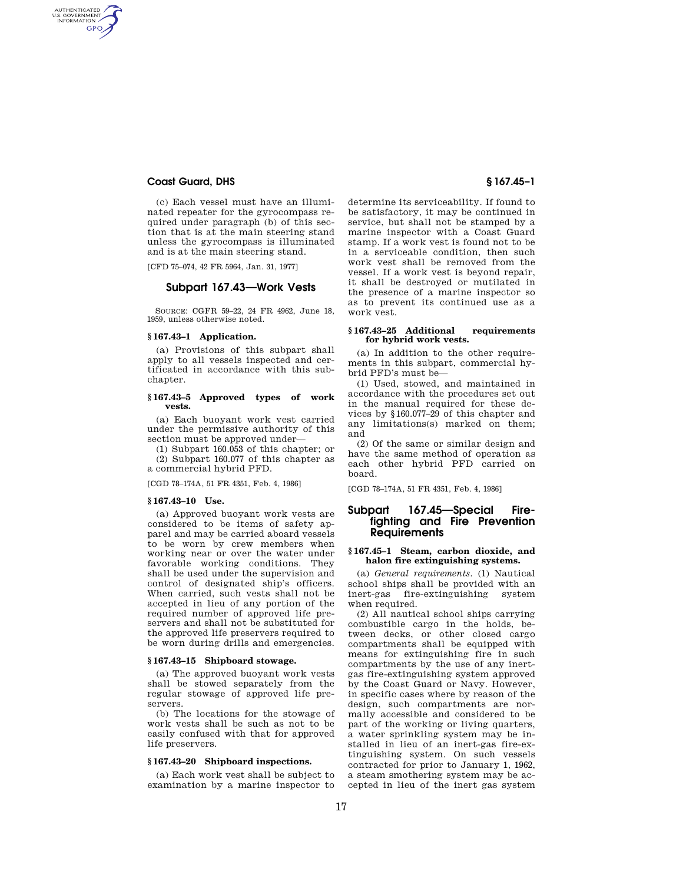## **Coast Guard, DHS § 167.45–1**

AUTHENTICATED<br>U.S. GOVERNMENT<br>INFORMATION **GPO** 

> (c) Each vessel must have an illuminated repeater for the gyrocompass required under paragraph (b) of this section that is at the main steering stand unless the gyrocompass is illuminated and is at the main steering stand.

[CFD 75–074, 42 FR 5964, Jan. 31, 1977]

# **Subpart 167.43—Work Vests**

SOURCE: CGFR 59–22, 24 FR 4962, June 18, 1959, unless otherwise noted.

#### **§ 167.43–1 Application.**

(a) Provisions of this subpart shall apply to all vessels inspected and certificated in accordance with this subchapter.

#### **§ 167.43–5 Approved types of work vests.**

(a) Each buoyant work vest carried under the permissive authority of this section must be approved under—

(1) Subpart 160.053 of this chapter; or (2) Subpart 160.077 of this chapter as a commercial hybrid PFD.

[CGD 78–174A, 51 FR 4351, Feb. 4, 1986]

### **§ 167.43–10 Use.**

(a) Approved buoyant work vests are considered to be items of safety apparel and may be carried aboard vessels to be worn by crew members when working near or over the water under favorable working conditions. They shall be used under the supervision and control of designated ship's officers. When carried, such vests shall not be accepted in lieu of any portion of the required number of approved life preservers and shall not be substituted for the approved life preservers required to be worn during drills and emergencies.

## **§ 167.43–15 Shipboard stowage.**

(a) The approved buoyant work vests shall be stowed separately from the regular stowage of approved life preservers.

(b) The locations for the stowage of work vests shall be such as not to be easily confused with that for approved life preservers.

#### **§ 167.43–20 Shipboard inspections.**

(a) Each work vest shall be subject to examination by a marine inspector to

determine its serviceability. If found to be satisfactory, it may be continued in service, but shall not be stamped by a marine inspector with a Coast Guard stamp. If a work vest is found not to be in a serviceable condition, then such work vest shall be removed from the vessel. If a work vest is beyond repair, it shall be destroyed or mutilated in the presence of a marine inspector so as to prevent its continued use as a work vest.

#### **§ 167.43–25 Additional requirements for hybrid work vests.**

(a) In addition to the other requirements in this subpart, commercial hybrid PFD's must be—

(1) Used, stowed, and maintained in accordance with the procedures set out in the manual required for these devices by §160.077–29 of this chapter and any limitations(s) marked on them; and

(2) Of the same or similar design and have the same method of operation as each other hybrid PFD carried on board.

[CGD 78–174A, 51 FR 4351, Feb. 4, 1986]

# **Subpart 167.45—Special Firefighting and Fire Prevention Requirements**

#### **§ 167.45–1 Steam, carbon dioxide, and halon fire extinguishing systems.**

(a) *General requirements.* (1) Nautical school ships shall be provided with an inert-gas fire-extinguishing system when required.

(2) All nautical school ships carrying combustible cargo in the holds, between decks, or other closed cargo compartments shall be equipped with means for extinguishing fire in such compartments by the use of any inertgas fire-extinguishing system approved by the Coast Guard or Navy. However, in specific cases where by reason of the design, such compartments are normally accessible and considered to be part of the working or living quarters, a water sprinkling system may be installed in lieu of an inert-gas fire-extinguishing system. On such vessels contracted for prior to January 1, 1962, a steam smothering system may be accepted in lieu of the inert gas system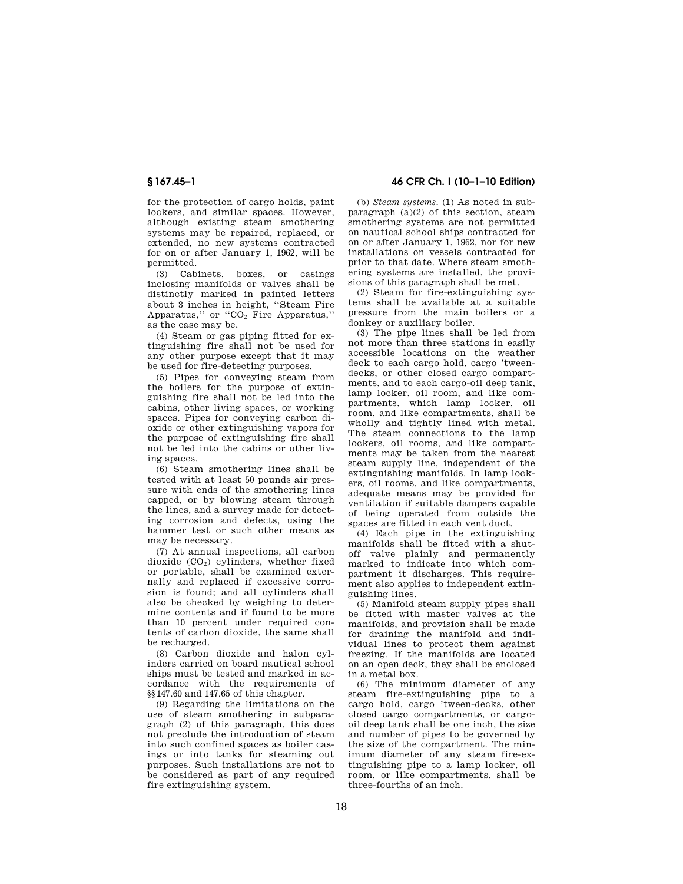for the protection of cargo holds, paint lockers, and similar spaces. However, although existing steam smothering systems may be repaired, replaced, or extended, no new systems contracted for on or after January 1, 1962, will be permitted.

(3) Cabinets, boxes, or casings inclosing manifolds or valves shall be distinctly marked in painted letters about 3 inches in height, ''Steam Fire Apparatus," or  $"CO<sub>2</sub>$  Fire Apparatus," as the case may be.

(4) Steam or gas piping fitted for extinguishing fire shall not be used for any other purpose except that it may be used for fire-detecting purposes.

(5) Pipes for conveying steam from the boilers for the purpose of extinguishing fire shall not be led into the cabins, other living spaces, or working spaces. Pipes for conveying carbon dioxide or other extinguishing vapors for the purpose of extinguishing fire shall not be led into the cabins or other living spaces.

(6) Steam smothering lines shall be tested with at least 50 pounds air pressure with ends of the smothering lines capped, or by blowing steam through the lines, and a survey made for detecting corrosion and defects, using the hammer test or such other means as may be necessary.

(7) At annual inspections, all carbon dioxide  $(CO_2)$  cylinders, whether fixed or portable, shall be examined externally and replaced if excessive corrosion is found; and all cylinders shall also be checked by weighing to determine contents and if found to be more than 10 percent under required contents of carbon dioxide, the same shall be recharged.

(8) Carbon dioxide and halon cylinders carried on board nautical school ships must be tested and marked in accordance with the requirements of §§147.60 and 147.65 of this chapter.

(9) Regarding the limitations on the use of steam smothering in subparagraph (2) of this paragraph, this does not preclude the introduction of steam into such confined spaces as boiler casings or into tanks for steaming out purposes. Such installations are not to be considered as part of any required fire extinguishing system.

**§ 167.45–1 46 CFR Ch. I (10–1–10 Edition)** 

(b) *Steam systems.* (1) As noted in subparagraph  $(a)(2)$  of this section, steam smothering systems are not permitted on nautical school ships contracted for on or after January 1, 1962, nor for new installations on vessels contracted for prior to that date. Where steam smothering systems are installed, the provisions of this paragraph shall be met.

(2) Steam for fire-extinguishing systems shall be available at a suitable pressure from the main boilers or a donkey or auxiliary boiler.

(3) The pipe lines shall be led from not more than three stations in easily accessible locations on the weather deck to each cargo hold, cargo 'tweendecks, or other closed cargo compartments, and to each cargo-oil deep tank, lamp locker, oil room, and like compartments, which lamp locker, oil room, and like compartments, shall be wholly and tightly lined with metal. The steam connections to the lamp lockers, oil rooms, and like compartments may be taken from the nearest steam supply line, independent of the extinguishing manifolds. In lamp lockers, oil rooms, and like compartments, adequate means may be provided for ventilation if suitable dampers capable of being operated from outside the spaces are fitted in each vent duct.

(4) Each pipe in the extinguishing manifolds shall be fitted with a shutoff valve plainly and permanently marked to indicate into which compartment it discharges. This requirement also applies to independent extinguishing lines.

(5) Manifold steam supply pipes shall be fitted with master valves at the manifolds, and provision shall be made for draining the manifold and individual lines to protect them against freezing. If the manifolds are located on an open deck, they shall be enclosed in a metal box.

(6) The minimum diameter of any steam fire-extinguishing pipe to a cargo hold, cargo 'tween-decks, other closed cargo compartments, or cargooil deep tank shall be one inch, the size and number of pipes to be governed by the size of the compartment. The minimum diameter of any steam fire-extinguishing pipe to a lamp locker, oil room, or like compartments, shall be three-fourths of an inch.